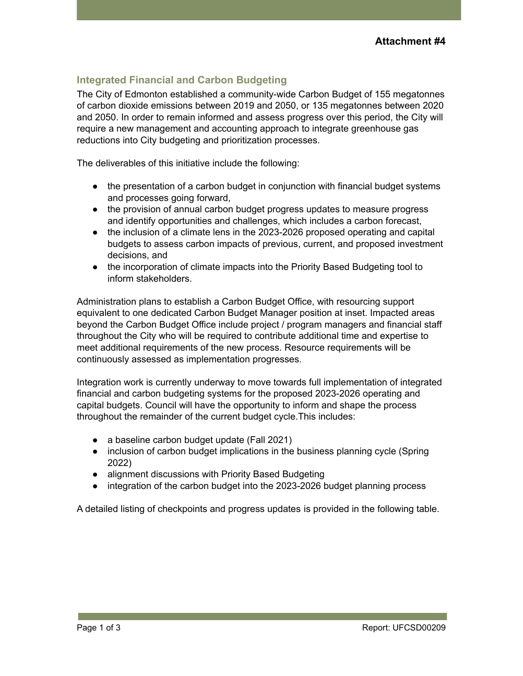## **Integrated Financial and Carbon Budgeting**

The City of Edmonton established a community-wide Carbon Budget of 155 megatonnes of carbon dioxide emissions between 2019 and 2050, or 135 megatonnes between 2020 and 2050. In order to remain informed and assess progress over this period, the City will require a new management and accounting approach to integrate greenhouse gas reductions into City budgeting and prioritization processes.

The deliverables of this initiative include the following:

- the presentation of a carbon budget in conjunction with financial budget systems and processes going forward,
- the provision of annual carbon budget progress updates to measure progress and identify opportunities and challenges, which includes a carbon forecast,
- the inclusion of a climate lens in the 2023-2026 proposed operating and capital budgets to assess carbon impacts of previous, current, and proposed investment decisions, and
- the incorporation of climate impacts into the Priority Based Budgeting tool to inform stakeholders.

Administration plans to establish a Carbon Budget Office, with resourcing support equivalent to one dedicated Carbon Budget Manager position at inset. Impacted areas beyond the Carbon Budget Office include project / program managers and financial staff throughout the City who will be required to contribute additional time and expertise to meet additional requirements of the new process. Resource requirements will be continuously assessed as implementation progresses.

Integration work is currently underway to move towards full implementation of integrated financial and carbon budgeting systems for the proposed 2023-2026 operating and capital budgets. Council will have the opportunity to inform and shape the process throughout the remainder of the current budget cycle.This includes:

- a baseline carbon budget update (Fall 2021)
- inclusion of carbon budget implications in the business planning cycle (Spring 2022)
- alignment discussions with Priority Based Budgeting
- integration of the carbon budget into the 2023-2026 budget planning process

A detailed listing of checkpoints and progress updates is provided in the following table.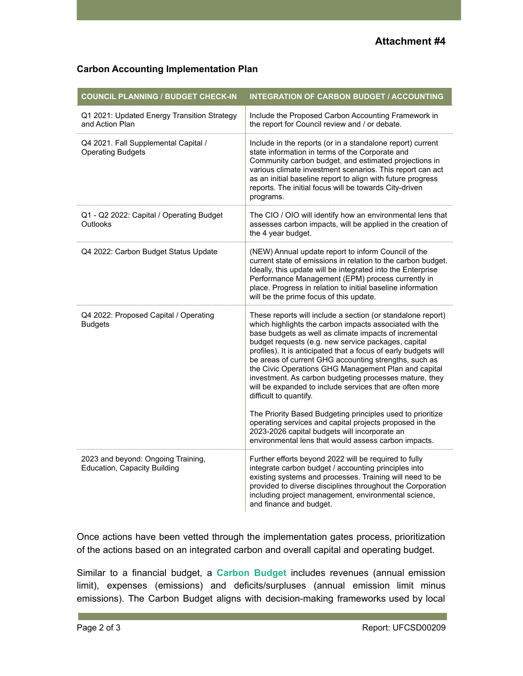## **Carbon Accounting Implementation Plan**

| <b>COUNCIL PLANNING / BUDGET CHECK-IN</b>                          | <b>INTEGRATION OF CARBON BUDGET / ACCOUNTING</b>                                                                                                                                                                                                                                                                                                                                                                                                                                                                                                                                                                                                                                                                                                                                                              |
|--------------------------------------------------------------------|---------------------------------------------------------------------------------------------------------------------------------------------------------------------------------------------------------------------------------------------------------------------------------------------------------------------------------------------------------------------------------------------------------------------------------------------------------------------------------------------------------------------------------------------------------------------------------------------------------------------------------------------------------------------------------------------------------------------------------------------------------------------------------------------------------------|
| Q1 2021: Updated Energy Transition Strategy<br>and Action Plan     | Include the Proposed Carbon Accounting Framework in<br>the report for Council review and / or debate.                                                                                                                                                                                                                                                                                                                                                                                                                                                                                                                                                                                                                                                                                                         |
| Q4 2021. Fall Supplemental Capital /<br><b>Operating Budgets</b>   | Include in the reports (or in a standalone report) current<br>state information in terms of the Corporate and<br>Community carbon budget, and estimated projections in<br>various climate investment scenarios. This report can act<br>as an initial baseline report to align with future progress<br>reports. The initial focus will be towards City-driven<br>programs.                                                                                                                                                                                                                                                                                                                                                                                                                                     |
| Q1 - Q2 2022: Capital / Operating Budget<br>Outlooks               | The CIO / OIO will identify how an environmental lens that<br>assesses carbon impacts, will be applied in the creation of<br>the 4 year budget.                                                                                                                                                                                                                                                                                                                                                                                                                                                                                                                                                                                                                                                               |
| Q4 2022: Carbon Budget Status Update                               | (NEW) Annual update report to inform Council of the<br>current state of emissions in relation to the carbon budget.<br>Ideally, this update will be integrated into the Enterprise<br>Performance Management (EPM) process currently in<br>place. Progress in relation to initial baseline information<br>will be the prime focus of this update.                                                                                                                                                                                                                                                                                                                                                                                                                                                             |
| Q4 2022: Proposed Capital / Operating<br><b>Budgets</b>            | These reports will include a section (or standalone report)<br>which highlights the carbon impacts associated with the<br>base budgets as well as climate impacts of incremental<br>budget requests (e.g. new service packages, capital<br>profiles). It is anticipated that a focus of early budgets will<br>be areas of current GHG accounting strengths, such as<br>the Civic Operations GHG Management Plan and capital<br>investment. As carbon budgeting processes mature, they<br>will be expanded to include services that are often more<br>difficult to quantify.<br>The Priority Based Budgeting principles used to prioritize<br>operating services and capital projects proposed in the<br>2023-2026 capital budgets will incorporate an<br>environmental lens that would assess carbon impacts. |
| 2023 and beyond: Ongoing Training,<br>Education, Capacity Building | Further efforts beyond 2022 will be required to fully<br>integrate carbon budget / accounting principles into<br>existing systems and processes. Training will need to be<br>provided to diverse disciplines throughout the Corporation<br>including project management, environmental science,<br>and finance and budget.                                                                                                                                                                                                                                                                                                                                                                                                                                                                                    |

Once actions have been vetted through the implementation gates process, prioritization of the actions based on an integrated carbon and overall capital and operating budget.

Similar to a financial budget, a **Carbon Budget** includes revenues (annual emission limit), expenses (emissions) and deficits/surpluses (annual emission limit minus emissions). The Carbon Budget aligns with decision-making frameworks used by local